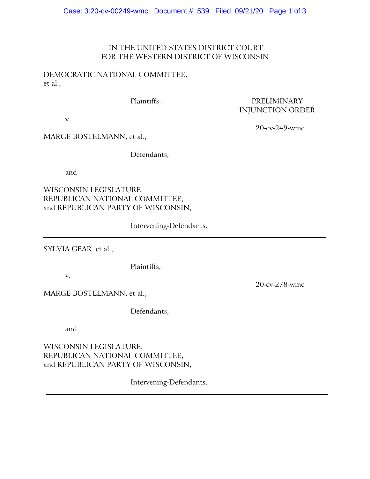## IN THE UNITED STATES DISTRICT COURT FOR THE WESTERN DISTRICT OF WISCONSIN

## DEMOCRATIC NATIONAL COMMITTEE, et al.,

v.

Plaintiffs, PRELIMINARY INJUNCTION ORDER

MARGE BOSTELMANN, et al.,

Defendants,

and

WISCONSIN LEGISLATURE, REPUBLICAN NATIONAL COMMITTEE, and REPUBLICAN PARTY OF WISCONSIN,

Intervening-Defendants.

SYLVIA GEAR, et al.,

Plaintiffs,

v.

MARGE BOSTELMANN, et al.,

Defendants,

and

WISCONSIN LEGISLATURE, REPUBLICAN NATIONAL COMMITTEE, and REPUBLICAN PARTY OF WISCONSIN,

Intervening-Defendants.

20-cv-249-wmc

20-cv-278-wmc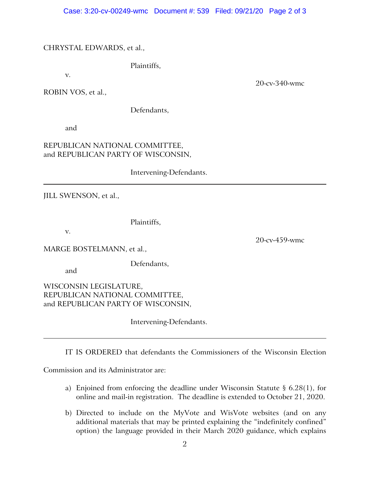## CHRYSTAL EDWARDS, et al.,

Plaintiffs,

v.

ROBIN VOS, et al.,

Defendants,

and

## REPUBLICAN NATIONAL COMMITTEE, and REPUBLICAN PARTY OF WISCONSIN,

Intervening-Defendants.

JILL SWENSON, et al.,

Plaintiffs,

v.

MARGE BOSTELMANN, et al.,

Defendants,

and

WISCONSIN LEGISLATURE, REPUBLICAN NATIONAL COMMITTEE, and REPUBLICAN PARTY OF WISCONSIN,

Intervening-Defendants.

IT IS ORDERED that defendants the Commissioners of the Wisconsin Election

Commission and its Administrator are:

- a) Enjoined from enforcing the deadline under Wisconsin Statute § 6.28(1), for online and mail-in registration. The deadline is extended to October 21, 2020.
- b) Directed to include on the MyVote and WisVote websites (and on any additional materials that may be printed explaining the "indefinitely confined" option) the language provided in their March 2020 guidance, which explains

20-cv-340-wmc

20-cv-459-wmc